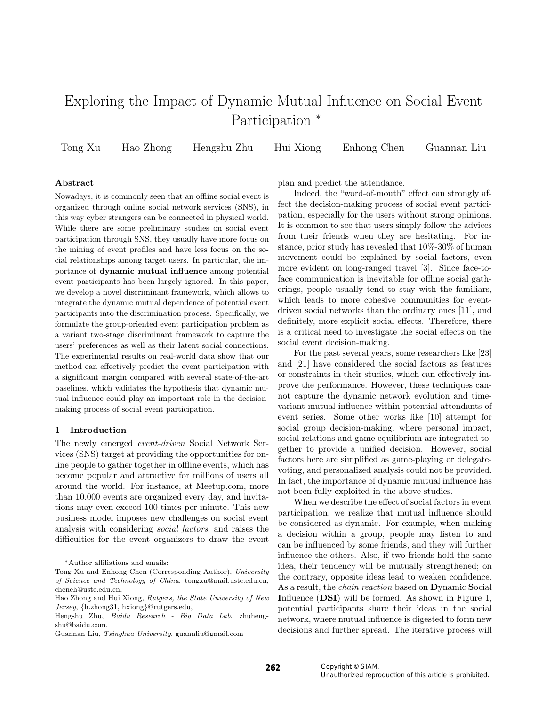# Exploring the Impact of Dynamic Mutual Influence on Social Event Participation <sup>∗</sup>

Tong Xu Hao Zhong Hengshu Zhu Hui Xiong Enhong Chen Guannan Liu

#### Abstract

Nowadays, it is commonly seen that an offline social event is organized through online social network services (SNS), in this way cyber strangers can be connected in physical world. While there are some preliminary studies on social event participation through SNS, they usually have more focus on the mining of event profiles and have less focus on the social relationships among target users. In particular, the importance of dynamic mutual influence among potential event participants has been largely ignored. In this paper, we develop a novel discriminant framework, which allows to integrate the dynamic mutual dependence of potential event participants into the discrimination process. Specifically, we formulate the group-oriented event participation problem as a variant two-stage discriminant framework to capture the users' preferences as well as their latent social connections. The experimental results on real-world data show that our method can effectively predict the event participation with a significant margin compared with several state-of-the-art baselines, which validates the hypothesis that dynamic mutual influence could play an important role in the decisionmaking process of social event participation.

#### 1 Introduction

The newly emerged event-driven Social Network Services (SNS) target at providing the opportunities for online people to gather together in offline events, which has become popular and attractive for millions of users all around the world. For instance, at Meetup.com, more than 10,000 events are organized every day, and invitations may even exceed 100 times per minute. This new business model imposes new challenges on social event analysis with considering social factors, and raises the difficulties for the event organizers to draw the event plan and predict the attendance.

Indeed, the "word-of-mouth" effect can strongly affect the decision-making process of social event participation, especially for the users without strong opinions. It is common to see that users simply follow the advices from their friends when they are hesitating. For instance, prior study has revealed that 10%-30% of human movement could be explained by social factors, even more evident on long-ranged travel [3]. Since face-toface communication is inevitable for offline social gatherings, people usually tend to stay with the familiars, which leads to more cohesive communities for eventdriven social networks than the ordinary ones [11], and definitely, more explicit social effects. Therefore, there is a critical need to investigate the social effects on the social event decision-making.

For the past several years, some researchers like [23] and [21] have considered the social factors as features or constraints in their studies, which can effectively improve the performance. However, these techniques cannot capture the dynamic network evolution and timevariant mutual influence within potential attendants of event series. Some other works like [10] attempt for social group decision-making, where personal impact, social relations and game equilibrium are integrated together to provide a unified decision. However, social factors here are simplified as game-playing or delegatevoting, and personalized analysis could not be provided. In fact, the importance of dynamic mutual influence has not been fully exploited in the above studies.

When we describe the effect of social factors in event participation, we realize that mutual influence should be considered as dynamic. For example, when making a decision within a group, people may listen to and can be influenced by some friends, and they will further influence the others. Also, if two friends hold the same idea, their tendency will be mutually strengthened; on the contrary, opposite ideas lead to weaken confidence. As a result, the *chain reaction* based on **D**ynamic Social Influence (DSI) will be formed. As shown in Figure 1, potential participants share their ideas in the social network, where mutual influence is digested to form new decisions and further spread. The iterative process will

<sup>∗</sup>Author affiliations and emails:

Tong Xu and Enhong Chen (Corresponding Author), University of Science and Technology of China, tongxu@mail.ustc.edu.cn, cheneh@ustc.edu.cn,

Hao Zhong and Hui Xiong, Rutgers, the State University of New  $Jersey,$   $\{ {\rm h.zhong31},$   ${\rm hxi9}\}$  @rutgers.edu,

Hengshu Zhu, Baidu Research - Big Data Lab, zhuhengshu@baidu.com,

Guannan Liu, Tsinghua University, guannliu@gmail.com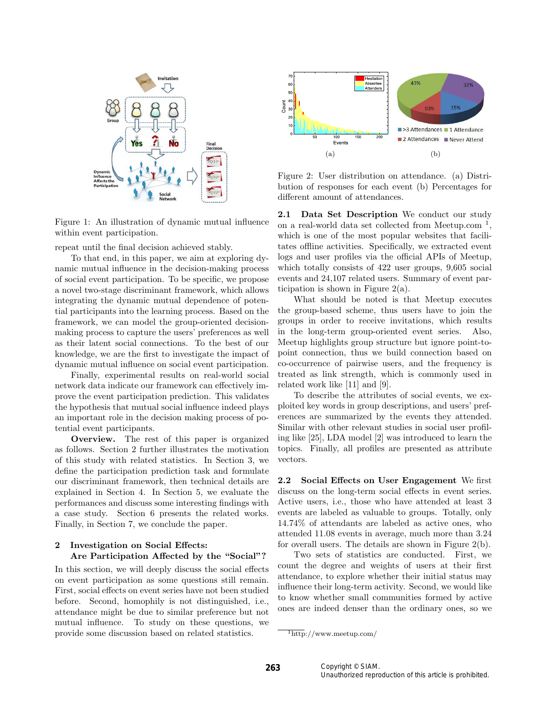

Figure 1: An illustration of dynamic mutual influence within event participation.

repeat until the final decision achieved stably.

To that end, in this paper, we aim at exploring dynamic mutual influence in the decision-making process of social event participation. To be specific, we propose a novel two-stage discriminant framework, which allows integrating the dynamic mutual dependence of potential participants into the learning process. Based on the framework, we can model the group-oriented decisionmaking process to capture the users' preferences as well as their latent social connections. To the best of our knowledge, we are the first to investigate the impact of dynamic mutual influence on social event participation.

Finally, experimental results on real-world social network data indicate our framework can effectively improve the event participation prediction. This validates the hypothesis that mutual social influence indeed plays an important role in the decision making process of potential event participants.

Overview. The rest of this paper is organized as follows. Section 2 further illustrates the motivation of this study with related statistics. In Section 3, we define the participation prediction task and formulate our discriminant framework, then technical details are explained in Section 4. In Section 5, we evaluate the performances and discuss some interesting findings with a case study. Section 6 presents the related works. Finally, in Section 7, we conclude the paper.

## 2 Investigation on Social Effects: Are Participation Affected by the "Social"?

In this section, we will deeply discuss the social effects on event participation as some questions still remain. First, social effects on event series have not been studied before. Second, homophily is not distinguished, i.e., attendance might be due to similar preference but not mutual influence. To study on these questions, we provide some discussion based on related statistics.



Figure 2: User distribution on attendance. (a) Distribution of responses for each event (b) Percentages for different amount of attendances.

2.1 Data Set Description We conduct our study on a real-world data set collected from Meetup.com<sup>1</sup>, which is one of the most popular websites that facilitates offline activities. Specifically, we extracted event logs and user profiles via the official APIs of Meetup, which totally consists of 422 user groups, 9,605 social events and 24,107 related users. Summary of event participation is shown in Figure  $2(a)$ .

What should be noted is that Meetup executes the group-based scheme, thus users have to join the groups in order to receive invitations, which results in the long-term group-oriented event series. Also, Meetup highlights group structure but ignore point-topoint connection, thus we build connection based on co-occurrence of pairwise users, and the frequency is treated as link strength, which is commonly used in related work like [11] and [9].

To describe the attributes of social events, we exploited key words in group descriptions, and users' preferences are summarized by the events they attended. Similar with other relevant studies in social user profiling like [25], LDA model [2] was introduced to learn the topics. Finally, all profiles are presented as attribute vectors.

2.2 Social Effects on User Engagement We first discuss on the long-term social effects in event series. Active users, i.e., those who have attended at least 3 events are labeled as valuable to groups. Totally, only 14.74% of attendants are labeled as active ones, who attended 11.08 events in average, much more than 3.24 for overall users. The details are shown in Figure 2(b).

Two sets of statistics are conducted. First, we count the degree and weights of users at their first attendance, to explore whether their initial status may influence their long-term activity. Second, we would like to know whether small communities formed by active ones are indeed denser than the ordinary ones, so we

<sup>1</sup>http://www.meetup.com/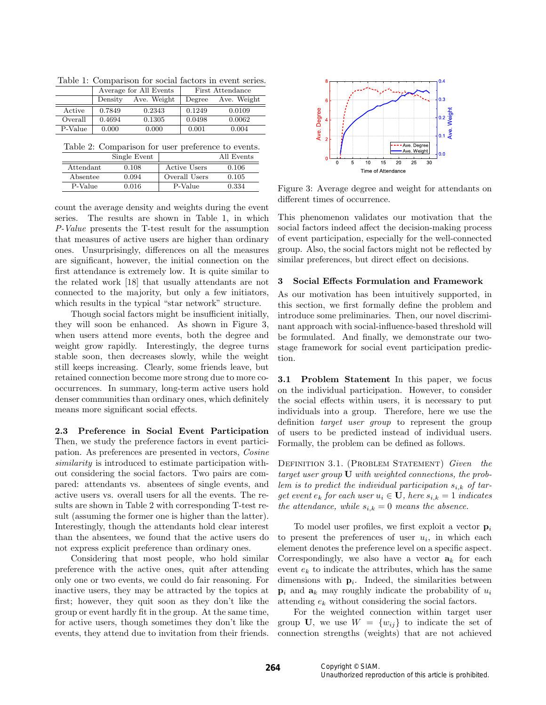|         | Average for All Events |             | First Attendance |             |
|---------|------------------------|-------------|------------------|-------------|
|         | Density                | Ave. Weight | Degree           | Ave. Weight |
| Active  | 0.7849                 | 0.2343      | 0.1249           | 0.0109      |
| Overall | 0.4694                 | 0.1305      | 0.0498           | 0.0062      |
| P-Value | 0.000                  | 0.000       | 0.001            | 0.004       |

Table 1: Comparison for social factors in event series.

Table 2: Comparison for user preference to events.

|           | Single Event |               | All Events |
|-----------|--------------|---------------|------------|
| Attendant | 0.108        | Active Users  | 0.106      |
| Absentee  | 0.094        | Overall Users | 0.105      |
| P-Value   | 0.016        | P-Value       | 0.334      |

count the average density and weights during the event series. The results are shown in Table 1, in which P-Value presents the T-test result for the assumption that measures of active users are higher than ordinary ones. Unsurprisingly, differences on all the measures are significant, however, the initial connection on the first attendance is extremely low. It is quite similar to the related work [18] that usually attendants are not connected to the majority, but only a few initiators, which results in the typical "star network" structure.

Though social factors might be insufficient initially, they will soon be enhanced. As shown in Figure 3, when users attend more events, both the degree and weight grow rapidly. Interestingly, the degree turns stable soon, then decreases slowly, while the weight still keeps increasing. Clearly, some friends leave, but retained connection become more strong due to more cooccurrences. In summary, long-term active users hold denser communities than ordinary ones, which definitely means more significant social effects.

2.3 Preference in Social Event Participation Then, we study the preference factors in event participation. As preferences are presented in vectors, Cosine similarity is introduced to estimate participation without considering the social factors. Two pairs are compared: attendants vs. absentees of single events, and active users vs. overall users for all the events. The results are shown in Table 2 with corresponding T-test result (assuming the former one is higher than the latter). Interestingly, though the attendants hold clear interest than the absentees, we found that the active users do not express explicit preference than ordinary ones.

Considering that most people, who hold similar preference with the active ones, quit after attending only one or two events, we could do fair reasoning. For inactive users, they may be attracted by the topics at first; however, they quit soon as they don't like the group or event hardly fit in the group. At the same time, for active users, though sometimes they don't like the events, they attend due to invitation from their friends.



Figure 3: Average degree and weight for attendants on different times of occurrence.

This phenomenon validates our motivation that the social factors indeed affect the decision-making process of event participation, especially for the well-connected group. Also, the social factors might not be reflected by similar preferences, but direct effect on decisions.

## 3 Social Effects Formulation and Framework

As our motivation has been intuitively supported, in this section, we first formally define the problem and introduce some preliminaries. Then, our novel discriminant approach with social-influence-based threshold will be formulated. And finally, we demonstrate our twostage framework for social event participation prediction.

3.1 Problem Statement In this paper, we focus on the individual participation. However, to consider the social effects within users, it is necessary to put individuals into a group. Therefore, here we use the definition target user group to represent the group of users to be predicted instead of individual users. Formally, the problem can be defined as follows.

DEFINITION 3.1. (PROBLEM STATEMENT) Given the target user group U with weighted connections, the problem is to predict the individual participation  $s_{i,k}$  of target event  $e_k$  for each user  $u_i \in U$ , here  $s_{i,k} = 1$  indicates the attendance, while  $s_{i,k} = 0$  means the absence.

To model user profiles, we first exploit a vector  $\mathbf{p}_i$ to present the preferences of user  $u_i$ , in which each element denotes the preference level on a specific aspect. Correspondingly, we also have a vector  $a_k$  for each event  $e_k$  to indicate the attributes, which has the same dimensions with  $\mathbf{p}_i$ . Indeed, the similarities between  $\mathbf{p}_i$  and  $\mathbf{a}_k$  may roughly indicate the probability of  $u_i$ attending  $e_k$  without considering the social factors.

For the weighted connection within target user group U, we use  $W = \{w_{ij}\}\$ to indicate the set of connection strengths (weights) that are not achieved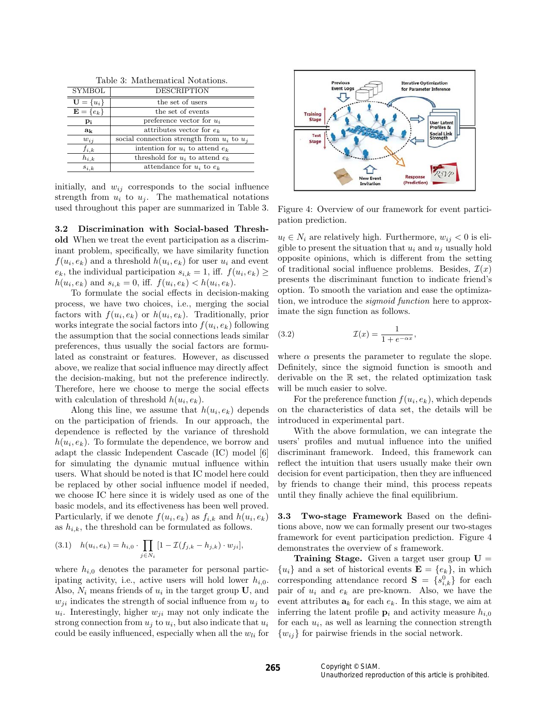| <b>SYMBOL</b>          | <b>DESCRIPTION</b>                             |
|------------------------|------------------------------------------------|
| $\mathbf{U} = \{u_i\}$ | the set of users                               |
| $\mathbf{E} = \{e_k\}$ | the set of events                              |
| $\mathbf{p_i}$         | preference vector for $u_i$                    |
| $a_k$                  | attributes vector for $e_k$                    |
| $w_{i,i}$              | social connection strength from $u_i$ to $u_j$ |
| $f_{i,k}$              | intention for $u_i$ to attend $e_k$            |
| $h_{i,k}$              | threshold for $u_i$ to attend $e_k$            |
| $s_{i,k}$              | attendance for $u_i$ to $e_k$                  |

initially, and  $w_{ij}$  corresponds to the social influence strength from  $u_i$  to  $u_j$ . The mathematical notations used throughout this paper are summarized in Table 3.

3.2 Discrimination with Social-based Threshold When we treat the event participation as a discriminant problem, specifically, we have similarity function  $f(u_i, e_k)$  and a threshold  $h(u_i, e_k)$  for user  $u_i$  and event  $e_k$ , the individual participation  $s_{i,k} = 1$ , iff.  $f(u_i, e_k) \geq$  $h(u_i, e_k)$  and  $s_{i,k} = 0$ , iff.  $f(u_i, e_k) < h(u_i, e_k)$ .

To formulate the social effects in decision-making process, we have two choices, i.e., merging the social factors with  $f(u_i, e_k)$  or  $h(u_i, e_k)$ . Traditionally, prior works integrate the social factors into  $f(u_i, e_k)$  following the assumption that the social connections leads similar preferences, thus usually the social factors are formulated as constraint or features. However, as discussed above, we realize that social influence may directly affect the decision-making, but not the preference indirectly. Therefore, here we choose to merge the social effects with calculation of threshold  $h(u_i, e_k)$ .

Along this line, we assume that  $h(u_i, e_k)$  depends on the participation of friends. In our approach, the dependence is reflected by the variance of threshold  $h(u_i, e_k)$ . To formulate the dependence, we borrow and adapt the classic Independent Cascade (IC) model [6] for simulating the dynamic mutual influence within users. What should be noted is that IC model here could be replaced by other social influence model if needed, we choose IC here since it is widely used as one of the basic models, and its effectiveness has been well proved. Particularly, if we denote  $f(u_i, e_k)$  as  $f_{i,k}$  and  $h(u_i, e_k)$ as  $h_{i,k}$ , the threshold can be formulated as follows.

(3.1) 
$$
h(u_i, e_k) = h_{i,0} \cdot \prod_{j \in N_i} [1 - \mathcal{I}(f_{j,k} - h_{j,k}) \cdot w_{ji}],
$$

where  $h_{i,0}$  denotes the parameter for personal participating activity, i.e., active users will hold lower  $h_{i,0}$ . Also,  $N_i$  means friends of  $u_i$  in the target group U, and  $w_{ji}$  indicates the strength of social influence from  $u_j$  to  $u_i$ . Interestingly, higher  $w_{ji}$  may not only indicate the strong connection from  $u_j$  to  $u_i$ , but also indicate that  $u_i$ could be easily influenced, especially when all the  $w_{li}$  for



Figure 4: Overview of our framework for event participation prediction.

 $u_l \in N_i$  are relatively high. Furthermore,  $w_{ij} < 0$  is eligible to present the situation that  $u_i$  and  $u_j$  usually hold opposite opinions, which is different from the setting of traditional social influence problems. Besides,  $\mathcal{I}(x)$ presents the discriminant function to indicate friend's option. To smooth the variation and ease the optimization, we introduce the *sigmoid function* here to approximate the sign function as follows.

(3.2) 
$$
\mathcal{I}(x) = \frac{1}{1 + e^{-\alpha x}},
$$

where  $\alpha$  presents the parameter to regulate the slope. Definitely, since the sigmoid function is smooth and derivable on the R set, the related optimization task will be much easier to solve.

For the preference function  $f(u_i, e_k)$ , which depends on the characteristics of data set, the details will be introduced in experimental part.

With the above formulation, we can integrate the users' profiles and mutual influence into the unified discriminant framework. Indeed, this framework can reflect the intuition that users usually make their own decision for event participation, then they are influenced by friends to change their mind, this process repeats until they finally achieve the final equilibrium.

3.3 Two-stage Framework Based on the definitions above, now we can formally present our two-stages framework for event participation prediction. Figure 4 demonstrates the overview of s framework.

**Training Stage.** Given a target user group  $U =$  ${u_i}$  and a set of historical events  $\mathbf{E} = {e_k}$ , in which corresponding attendance record  $S = \{s_{i,k}^0\}$  for each pair of  $u_i$  and  $e_k$  are pre-known. Also, we have the event attributes  $a_k$  for each  $e_k$ . In this stage, we aim at inferring the latent profile  $\mathbf{p}_i$  and activity measure  $h_{i,0}$ for each  $u_i$ , as well as learning the connection strength  $\{w_{ij}\}\$ for pairwise friends in the social network.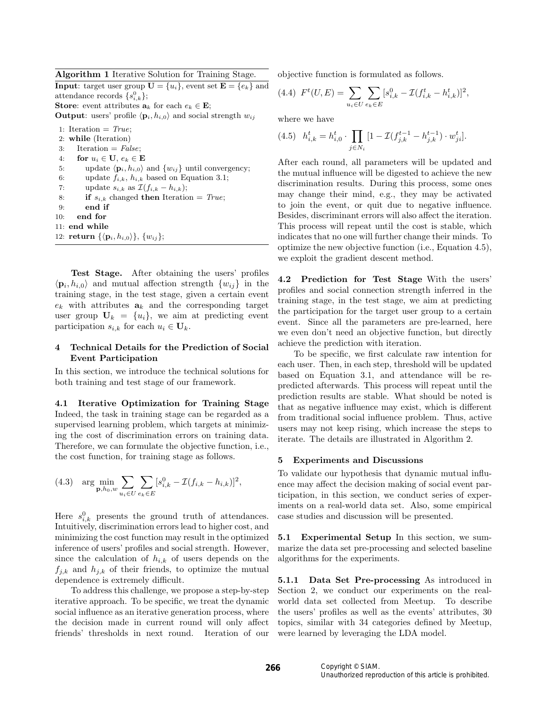Algorithm 1 Iterative Solution for Training Stage.

**Input:** target user group  $\mathbf{U} = \{u_i\}$ , event set  $\mathbf{E} = \{e_k\}$  and attendance records  $\overline{\{s_{i,k}^0\}}$ ; **Store:** event attributes  $a_k$  for each  $e_k \in \mathbf{E}$ ; **Output:** users' profile  $\langle \mathbf{p}_i, h_{i,0} \rangle$  and social strength  $w_{ij}$ 1: Iteration  $= True;$ 

- 2: while (Iteration) 3: Iteration =  $False$ ;
- 
- 4: for  $u_i \in U$ ,  $e_k \in E$
- 5: update  $\langle \mathbf{p}_i, h_{i,0} \rangle$  and  $\{w_{ij}\}\$  until convergency;
- 6: update  $f_{i,k}$ ,  $h_{i,k}$  based on Equation 3.1;
- 7: update  $s_{i,k}$  as  $\mathcal{I}(f_{i,k} h_{i,k});$
- 8: if  $s_{i,k}$  changed then Iteration = True;
- 9: end if
- 10: end for
- 11: end while
- 12: **return**  $\{\langle \mathbf{p}_i, h_{i,0} \rangle\}, \{w_{ij}\};$

Test Stage. After obtaining the users' profiles  $\langle \mathbf{p}_i, h_{i,0} \rangle$  and mutual affection strength  $\{w_{ij}\}\$ in the training stage, in the test stage, given a certain event  $e_k$  with attributes  $a_k$  and the corresponding target user group  $U_k = \{u_i\}$ , we aim at predicting event participation  $s_{i,k}$  for each  $u_i \in U_k$ .

### 4 Technical Details for the Prediction of Social Event Participation

In this section, we introduce the technical solutions for both training and test stage of our framework.

4.1 Iterative Optimization for Training Stage Indeed, the task in training stage can be regarded as a supervised learning problem, which targets at minimizing the cost of discrimination errors on training data. Therefore, we can formulate the objective function, i.e., the cost function, for training stage as follows.

(4.3) 
$$
\arg\min_{\mathbf{p},h_0,w} \sum_{u_i \in U} \sum_{e_k \in E} [s_{i,k}^0 - \mathcal{I}(f_{i,k} - h_{i,k})]^2,
$$

Here  $s_{i,k}^0$  presents the ground truth of attendances. Intuitively, discrimination errors lead to higher cost, and minimizing the cost function may result in the optimized inference of users' profiles and social strength. However, since the calculation of  $h_{i,k}$  of users depends on the  $f_{j,k}$  and  $h_{j,k}$  of their friends, to optimize the mutual dependence is extremely difficult.

To address this challenge, we propose a step-by-step iterative approach. To be specific, we treat the dynamic social influence as an iterative generation process, where the decision made in current round will only affect friends' thresholds in next round. Iteration of our objective function is formulated as follows.

$$
(4.4) \ \ F^t(U, E) = \sum_{u_i \in U} \sum_{e_k \in E} [s_{i,k}^0 - \mathcal{I}(f_{i,k}^t - h_{i,k}^t)]^2,
$$

where we have

$$
(4.5) \quad h_{i,k}^t = h_{i,0}^t \cdot \prod_{j \in N_i} \left[ 1 - \mathcal{I}(f_{j,k}^{t-1} - h_{j,k}^{t-1}) \cdot w_{ji}^t \right].
$$

After each round, all parameters will be updated and the mutual influence will be digested to achieve the new discrimination results. During this process, some ones may change their mind, e.g., they may be activated to join the event, or quit due to negative influence. Besides, discriminant errors will also affect the iteration. This process will repeat until the cost is stable, which indicates that no one will further change their minds. To optimize the new objective function (i.e., Equation 4.5), we exploit the gradient descent method.

4.2 Prediction for Test Stage With the users' profiles and social connection strength inferred in the training stage, in the test stage, we aim at predicting the participation for the target user group to a certain event. Since all the parameters are pre-learned, here we even don't need an objective function, but directly achieve the prediction with iteration.

To be specific, we first calculate raw intention for each user. Then, in each step, threshold will be updated based on Equation 3.1, and attendance will be repredicted afterwards. This process will repeat until the prediction results are stable. What should be noted is that as negative influence may exist, which is different from traditional social influence problem. Thus, active users may not keep rising, which increase the steps to iterate. The details are illustrated in Algorithm 2.

### 5 Experiments and Discussions

To validate our hypothesis that dynamic mutual influence may affect the decision making of social event participation, in this section, we conduct series of experiments on a real-world data set. Also, some empirical case studies and discussion will be presented.

5.1 Experimental Setup In this section, we summarize the data set pre-processing and selected baseline algorithms for the experiments.

5.1.1 Data Set Pre-processing As introduced in Section 2, we conduct our experiments on the realworld data set collected from Meetup. To describe the users' profiles as well as the events' attributes, 30 topics, similar with 34 categories defined by Meetup, were learned by leveraging the LDA model.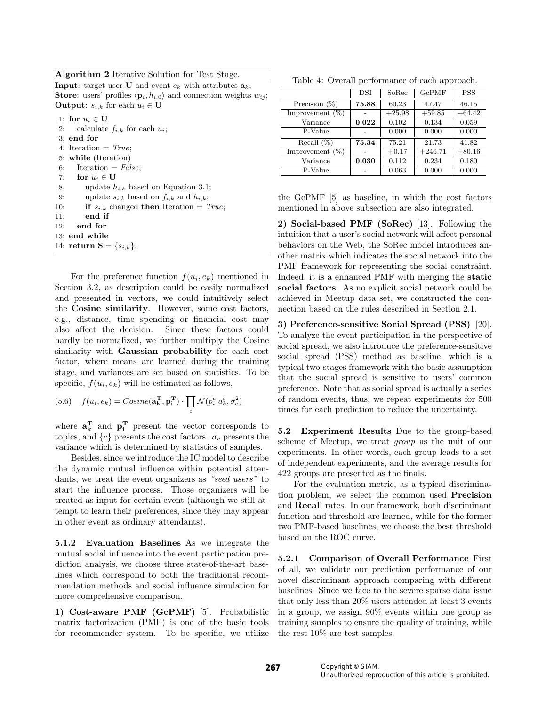Algorithm 2 Iterative Solution for Test Stage.

**Input:** target user **U** and event  $e_k$  with attributes  $a_k$ ; **Store:** users' profiles  $\langle \mathbf{p}_i, h_{i,0} \rangle$  and connection weights  $w_{ij}$ ; **Output:**  $s_{i,k}$  for each  $u_i \in U$ 

1: for  $u_i \in U$ 2: calculate  $f_{i,k}$  for each  $u_i$ ; 3: end for 4: Iteration = True; 5: while (Iteration) 6: Iteration =  $False;$ 7: for  $u_i \in U$ 8: update  $h_{i,k}$  based on Equation 3.1; 9: update  $s_{i,k}$  based on  $f_{i,k}$  and  $h_{i,k}$ ; 10: **if**  $s_{i,k}$  changed **then** Iteration = *True*; 11: end if 12: end for 13: end while 14: **return S** = { $s_{i,k}$ };

For the preference function  $f(u_i, e_k)$  mentioned in Section 3.2, as description could be easily normalized and presented in vectors, we could intuitively select the Cosine similarity. However, some cost factors, e.g., distance, time spending or financial cost may also affect the decision. Since these factors could hardly be normalized, we further multiply the Cosine similarity with Gaussian probability for each cost factor, where means are learned during the training stage, and variances are set based on statistics. To be specific,  $f(u_i, e_k)$  will be estimated as follows,

(5.6) 
$$
f(u_i, e_k) = Cosine(\mathbf{a_k^T}, \mathbf{p_i^T}) \cdot \prod_c \mathcal{N}(p_i^c | a_k^c, \sigma_c^2)
$$

where  $\mathbf{a}_{\mathbf{k}}^{\mathbf{T}}$  and  $\mathbf{p}_{\mathbf{i}}^{\mathbf{T}}$  present the vector corresponds to topics, and  $\{c\}$  presents the cost factors.  $\sigma_c$  presents the variance which is determined by statistics of samples.

Besides, since we introduce the IC model to describe the dynamic mutual influence within potential attendants, we treat the event organizers as "seed users" to start the influence process. Those organizers will be treated as input for certain event (although we still attempt to learn their preferences, since they may appear in other event as ordinary attendants).

5.1.2 Evaluation Baselines As we integrate the mutual social influence into the event participation prediction analysis, we choose three state-of-the-art baselines which correspond to both the traditional recommendation methods and social influence simulation for more comprehensive comparison.

1) Cost-aware PMF (GcPMF) [5]. Probabilistic matrix factorization (PMF) is one of the basic tools for recommender system. To be specific, we utilize

Table 4: Overall performance of each approach.

|                    | DSI   | SoRec    | <b>GcPMF</b> | <b>PSS</b> |
|--------------------|-------|----------|--------------|------------|
| Precision $(\%)$   | 75.88 | 60.23    | 47.47        | 46.15      |
| Improvement $(\%)$ |       | $+25.98$ | $+59.85$     | $+64.42$   |
| Variance           | 0.022 | 0.102    | 0.134        | 0.059      |
| P-Value            |       | 0.000    | 0.000        | 0.000      |
| Recall $(\%)$      | 75.34 | 75.21    | 21.73        | 41.82      |
| Improvement $(\%)$ |       | $+0.17$  | $+246.71$    | $+80.16$   |
| Variance           | 0.030 | 0.112    | 0.234        | 0.180      |
| P-Value            |       | 0.063    | 0.000        | 0.000      |

the GcPMF [5] as baseline, in which the cost factors mentioned in above subsection are also integrated.

2) Social-based PMF (SoRec) [13]. Following the intuition that a user's social network will affect personal behaviors on the Web, the SoRec model introduces another matrix which indicates the social network into the PMF framework for representing the social constraint. Indeed, it is a enhanced PMF with merging the static social factors. As no explicit social network could be achieved in Meetup data set, we constructed the connection based on the rules described in Section 2.1.

3) Preference-sensitive Social Spread (PSS) [20]. To analyze the event participation in the perspective of social spread, we also introduce the preference-sensitive social spread (PSS) method as baseline, which is a typical two-stages framework with the basic assumption that the social spread is sensitive to users' common preference. Note that as social spread is actually a series of random events, thus, we repeat experiments for 500 times for each prediction to reduce the uncertainty.

5.2 Experiment Results Due to the group-based scheme of Meetup, we treat group as the unit of our experiments. In other words, each group leads to a set of independent experiments, and the average results for 422 groups are presented as the finals.

For the evaluation metric, as a typical discrimination problem, we select the common used Precision and Recall rates. In our framework, both discriminant function and threshold are learned, while for the former two PMF-based baselines, we choose the best threshold based on the ROC curve.

5.2.1 Comparison of Overall Performance First of all, we validate our prediction performance of our novel discriminant approach comparing with different baselines. Since we face to the severe sparse data issue that only less than 20% users attended at least 3 events in a group, we assign 90% events within one group as training samples to ensure the quality of training, while the rest 10% are test samples.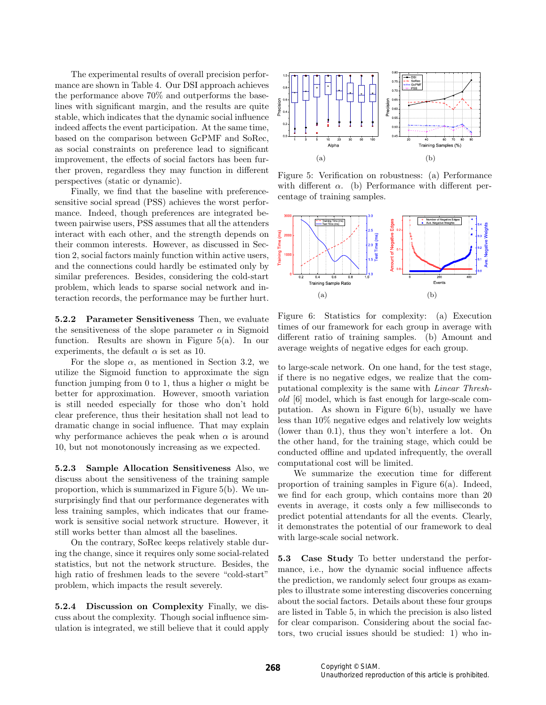The experimental results of overall precision performance are shown in Table 4. Our DSI approach achieves the performance above 70% and outperforms the baselines with significant margin, and the results are quite stable, which indicates that the dynamic social influence indeed affects the event participation. At the same time, based on the comparison between GcPMF and SoRec, as social constraints on preference lead to significant improvement, the effects of social factors has been further proven, regardless they may function in different perspectives (static or dynamic).

Finally, we find that the baseline with preferencesensitive social spread (PSS) achieves the worst performance. Indeed, though preferences are integrated between pairwise users, PSS assumes that all the attenders interact with each other, and the strength depends on their common interests. However, as discussed in Section 2, social factors mainly function within active users, and the connections could hardly be estimated only by similar preferences. Besides, considering the cold-start problem, which leads to sparse social network and interaction records, the performance may be further hurt.

5.2.2 Parameter Sensitiveness Then, we evaluate the sensitiveness of the slope parameter  $\alpha$  in Sigmoid function. Results are shown in Figure 5(a). In our experiments, the default  $\alpha$  is set as 10.

For the slope  $\alpha$ , as mentioned in Section 3.2, we utilize the Sigmoid function to approximate the sign function jumping from 0 to 1, thus a higher  $\alpha$  might be better for approximation. However, smooth variation is still needed especially for those who don't hold clear preference, thus their hesitation shall not lead to dramatic change in social influence. That may explain why performance achieves the peak when  $\alpha$  is around 10, but not monotonously increasing as we expected.

5.2.3 Sample Allocation Sensitiveness Also, we discuss about the sensitiveness of the training sample proportion, which is summarized in Figure 5(b). We unsurprisingly find that our performance degenerates with less training samples, which indicates that our framework is sensitive social network structure. However, it still works better than almost all the baselines.

On the contrary, SoRec keeps relatively stable during the change, since it requires only some social-related statistics, but not the network structure. Besides, the high ratio of freshmen leads to the severe "cold-start" problem, which impacts the result severely.

5.2.4 Discussion on Complexity Finally, we discuss about the complexity. Though social influence simulation is integrated, we still believe that it could apply



Figure 5: Verification on robustness: (a) Performance with different  $\alpha$ . (b) Performance with different percentage of training samples.



Figure 6: Statistics for complexity: (a) Execution times of our framework for each group in average with different ratio of training samples. (b) Amount and average weights of negative edges for each group.

to large-scale network. On one hand, for the test stage, if there is no negative edges, we realize that the computational complexity is the same with Linear Threshold [6] model, which is fast enough for large-scale computation. As shown in Figure 6(b), usually we have less than 10% negative edges and relatively low weights (lower than 0.1), thus they won't interfere a lot. On the other hand, for the training stage, which could be conducted offline and updated infrequently, the overall computational cost will be limited.

We summarize the execution time for different proportion of training samples in Figure 6(a). Indeed, we find for each group, which contains more than 20 events in average, it costs only a few milliseconds to predict potential attendants for all the events. Clearly, it demonstrates the potential of our framework to deal with large-scale social network.

5.3 Case Study To better understand the performance, i.e., how the dynamic social influence affects the prediction, we randomly select four groups as examples to illustrate some interesting discoveries concerning about the social factors. Details about these four groups are listed in Table 5, in which the precision is also listed for clear comparison. Considering about the social factors, two crucial issues should be studied: 1) who in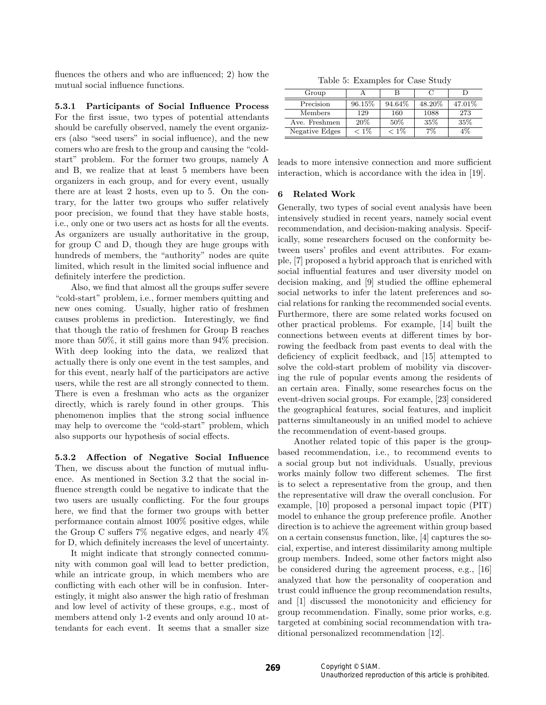fluences the others and who are influenced; 2) how the mutual social influence functions.

5.3.1 Participants of Social Influence Process For the first issue, two types of potential attendants should be carefully observed, namely the event organizers (also "seed users" in social influence), and the new comers who are fresh to the group and causing the "coldstart" problem. For the former two groups, namely A and B, we realize that at least 5 members have been organizers in each group, and for every event, usually there are at least 2 hosts, even up to 5. On the contrary, for the latter two groups who suffer relatively poor precision, we found that they have stable hosts, i.e., only one or two users act as hosts for all the events. As organizers are usually authoritative in the group, for group C and D, though they are huge groups with hundreds of members, the "authority" nodes are quite limited, which result in the limited social influence and definitely interfere the prediction.

Also, we find that almost all the groups suffer severe "cold-start" problem, i.e., former members quitting and new ones coming. Usually, higher ratio of freshmen causes problems in prediction. Interestingly, we find that though the ratio of freshmen for Group B reaches more than 50%, it still gains more than 94% precision. With deep looking into the data, we realized that actually there is only one event in the test samples, and for this event, nearly half of the participators are active users, while the rest are all strongly connected to them. There is even a freshman who acts as the organizer directly, which is rarely found in other groups. This phenomenon implies that the strong social influence may help to overcome the "cold-start" problem, which also supports our hypothesis of social effects.

5.3.2 Affection of Negative Social Influence Then, we discuss about the function of mutual influence. As mentioned in Section 3.2 that the social influence strength could be negative to indicate that the two users are usually conflicting. For the four groups here, we find that the former two groups with better performance contain almost 100% positive edges, while the Group C suffers 7% negative edges, and nearly 4% for D, which definitely increases the level of uncertainty.

It might indicate that strongly connected community with common goal will lead to better prediction, while an intricate group, in which members who are conflicting with each other will be in confusion. Interestingly, it might also answer the high ratio of freshman and low level of activity of these groups, e.g., most of members attend only 1-2 events and only around 10 attendants for each event. It seems that a smaller size

Table 5: Examples for Case Study

| Group          |         | В       |        |        |
|----------------|---------|---------|--------|--------|
| Precision      | 96.15\% | 94.64%  | 48.20% | 47.01% |
| Members        | 129     | 160     | 1088   | 273    |
| Ave. Freshmen  | 20%     | 50%     | 35%    | 35%    |
| Negative Edges | $< 1\%$ | $< 1\%$ | $7\%$  | 4%     |

leads to more intensive connection and more sufficient interaction, which is accordance with the idea in [19].

## 6 Related Work

Generally, two types of social event analysis have been intensively studied in recent years, namely social event recommendation, and decision-making analysis. Specifically, some researchers focused on the conformity between users' profiles and event attributes. For example, [7] proposed a hybrid approach that is enriched with social influential features and user diversity model on decision making, and [9] studied the offline ephemeral social networks to infer the latent preferences and social relations for ranking the recommended social events. Furthermore, there are some related works focused on other practical problems. For example, [14] built the connections between events at different times by borrowing the feedback from past events to deal with the deficiency of explicit feedback, and [15] attempted to solve the cold-start problem of mobility via discovering the rule of popular events among the residents of an certain area. Finally, some researches focus on the event-driven social groups. For example, [23] considered the geographical features, social features, and implicit patterns simultaneously in an unified model to achieve the recommendation of event-based groups.

Another related topic of this paper is the groupbased recommendation, i.e., to recommend events to a social group but not individuals. Usually, previous works mainly follow two different schemes. The first is to select a representative from the group, and then the representative will draw the overall conclusion. For example, [10] proposed a personal impact topic (PIT) model to enhance the group preference profile. Another direction is to achieve the agreement within group based on a certain consensus function, like, [4] captures the social, expertise, and interest dissimilarity among multiple group members. Indeed, some other factors might also be considered during the agreement process, e.g., [16] analyzed that how the personality of cooperation and trust could influence the group recommendation results, and [1] discussed the monotonicity and efficiency for group recommendation. Finally, some prior works, e.g. targeted at combining social recommendation with traditional personalized recommendation [12].